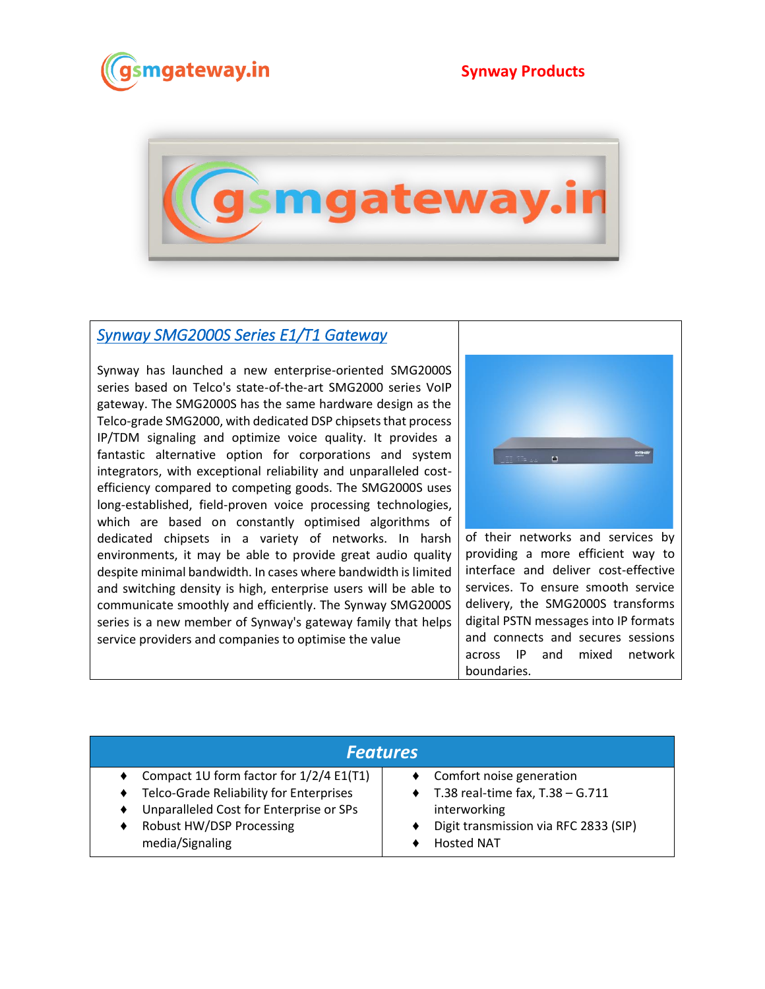



## *[Synway SMG2000S Series E1/T1 Gateway](https://www.gsmgateway.in/synway/SMG-2000S-Series-E1T1-Gateway.html)*

Synway has launched a new enterprise-oriented SMG2000S series based on Telco's state-of-the-art SMG2000 series VoIP gateway. The SMG2000S has the same hardware design as the Telco-grade SMG2000, with dedicated DSP chipsets that process IP/TDM signaling and optimize voice quality. It provides a fantastic alternative option for corporations and system integrators, with exceptional reliability and unparalleled costefficiency compared to competing goods. The SMG2000S uses long-established, field-proven voice processing technologies, which are based on constantly optimised algorithms of dedicated chipsets in a variety of networks. In harsh environments, it may be able to provide great audio quality despite minimal bandwidth. In cases where bandwidth is limited and switching density is high, enterprise users will be able to communicate smoothly and efficiently. The Synway SMG2000S series is a new member of Synway's gateway family that helps service providers and companies to optimise the value



of their networks and services by providing a more efficient way to interface and deliver cost-effective services. To ensure smooth service delivery, the SMG2000S transforms digital PSTN messages into IP formats and connects and secures sessions across IP and mixed network boundaries.

| <b>Features</b>                         |                                            |  |
|-----------------------------------------|--------------------------------------------|--|
| Compact 1U form factor for 1/2/4 E1(T1) | Comfort noise generation                   |  |
| Telco-Grade Reliability for Enterprises | $\bullet$ T.38 real-time fax, T.38 - G.711 |  |
| Unparalleled Cost for Enterprise or SPs | interworking                               |  |
| Robust HW/DSP Processing                | Digit transmission via RFC 2833 (SIP)      |  |
| media/Signaling                         | <b>Hosted NAT</b>                          |  |